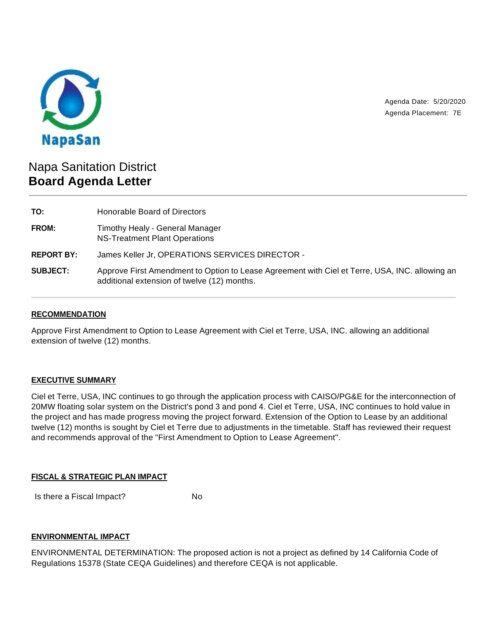

Agenda Date: 5/20/2020 Agenda Placement: 7E

# Napa Sanitation District **Board Agenda Letter**

| TO:               | Honorable Board of Directors                                                                                                                  |
|-------------------|-----------------------------------------------------------------------------------------------------------------------------------------------|
| <b>FROM:</b>      | Timothy Healy - General Manager<br>NS-Treatment Plant Operations                                                                              |
| <b>REPORT BY:</b> | James Keller Jr, OPERATIONS SERVICES DIRECTOR -                                                                                               |
| <b>SUBJECT:</b>   | Approve First Amendment to Option to Lease Agreement with Ciel et Terre, USA, INC. allowing an<br>additional extension of twelve (12) months. |

## **RECOMMENDATION**

Approve First Amendment to Option to Lease Agreement with Ciel et Terre, USA, INC. allowing an additional extension of twelve (12) months.

## **EXECUTIVE SUMMARY**

Ciel et Terre, USA, INC continues to go through the application process with CAISO/PG&E for the interconnection of 20MW floating solar system on the District's pond 3 and pond 4. Ciel et Terre, USA, INC continues to hold value in the project and has made progress moving the project forward. Extension of the Option to Lease by an additional twelve (12) months is sought by Ciel et Terre due to adjustments in the timetable. Staff has reviewed their request and recommends approval of the "First Amendment to Option to Lease Agreement".

## **FISCAL & STRATEGIC PLAN IMPACT**

Is there a Fiscal Impact? No

## **ENVIRONMENTAL IMPACT**

ENVIRONMENTAL DETERMINATION: The proposed action is not a project as defined by 14 California Code of Regulations 15378 (State CEQA Guidelines) and therefore CEQA is not applicable.